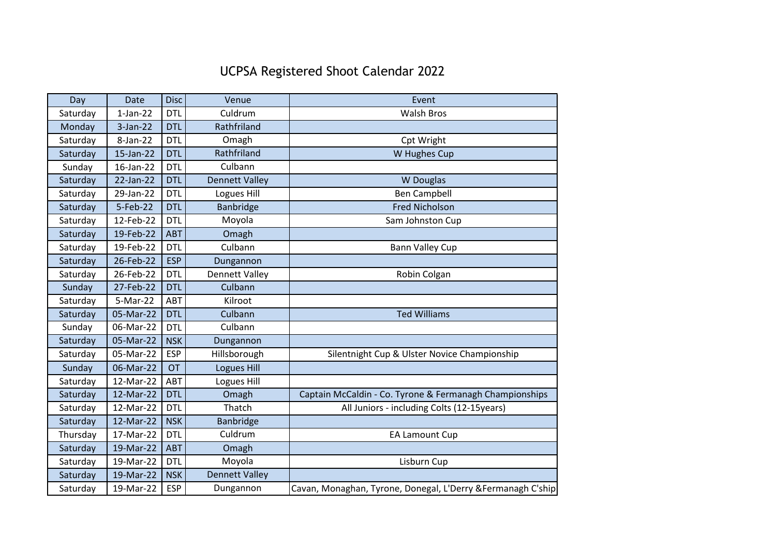## UCPSA Registered Shoot Calendar 2022

| Day      | <b>Date</b> | <b>Disc</b> | Venue                 | Event                                                        |
|----------|-------------|-------------|-----------------------|--------------------------------------------------------------|
| Saturday | $1-Jan-22$  | <b>DTL</b>  | Culdrum               | <b>Walsh Bros</b>                                            |
| Monday   | $3$ -Jan-22 | <b>DTL</b>  | Rathfriland           |                                                              |
| Saturday | 8-Jan-22    | <b>DTL</b>  | Omagh                 | Cpt Wright                                                   |
| Saturday | 15-Jan-22   | <b>DTL</b>  | Rathfriland           | W Hughes Cup                                                 |
| Sunday   | 16-Jan-22   | <b>DTL</b>  | Culbann               |                                                              |
| Saturday | 22-Jan-22   | <b>DTL</b>  | <b>Dennett Valley</b> | <b>W</b> Douglas                                             |
| Saturday | 29-Jan-22   | <b>DTL</b>  | Logues Hill           | <b>Ben Campbell</b>                                          |
| Saturday | 5-Feb-22    | <b>DTL</b>  | Banbridge             | <b>Fred Nicholson</b>                                        |
| Saturday | 12-Feb-22   | <b>DTL</b>  | Moyola                | Sam Johnston Cup                                             |
| Saturday | 19-Feb-22   | <b>ABT</b>  | Omagh                 |                                                              |
| Saturday | 19-Feb-22   | <b>DTL</b>  | Culbann               | <b>Bann Valley Cup</b>                                       |
| Saturday | 26-Feb-22   | <b>ESP</b>  | Dungannon             |                                                              |
| Saturday | 26-Feb-22   | <b>DTL</b>  | <b>Dennett Valley</b> | Robin Colgan                                                 |
| Sunday   | 27-Feb-22   | <b>DTL</b>  | Culbann               |                                                              |
| Saturday | 5-Mar-22    | ABT         | Kilroot               |                                                              |
| Saturday | 05-Mar-22   | <b>DTL</b>  | Culbann               | <b>Ted Williams</b>                                          |
| Sunday   | 06-Mar-22   | <b>DTL</b>  | Culbann               |                                                              |
| Saturday | 05-Mar-22   | <b>NSK</b>  | Dungannon             |                                                              |
| Saturday | 05-Mar-22   | <b>ESP</b>  | Hillsborough          | Silentnight Cup & Ulster Novice Championship                 |
| Sunday   | 06-Mar-22   | <b>OT</b>   | <b>Logues Hill</b>    |                                                              |
| Saturday | 12-Mar-22   | ABT         | Logues Hill           |                                                              |
| Saturday | 12-Mar-22   | <b>DTL</b>  | Omagh                 | Captain McCaldin - Co. Tyrone & Fermanagh Championships      |
| Saturday | 12-Mar-22   | <b>DTL</b>  | Thatch                | All Juniors - including Colts (12-15years)                   |
| Saturday | 12-Mar-22   | <b>NSK</b>  | Banbridge             |                                                              |
| Thursday | 17-Mar-22   | <b>DTL</b>  | Culdrum               | <b>EA Lamount Cup</b>                                        |
| Saturday | 19-Mar-22   | <b>ABT</b>  | Omagh                 |                                                              |
| Saturday | 19-Mar-22   | <b>DTL</b>  | Moyola                | Lisburn Cup                                                  |
| Saturday | 19-Mar-22   | <b>NSK</b>  | <b>Dennett Valley</b> |                                                              |
| Saturday | 19-Mar-22   | <b>ESP</b>  | Dungannon             | Cavan, Monaghan, Tyrone, Donegal, L'Derry & Fermanagh C'ship |
|          |             |             |                       |                                                              |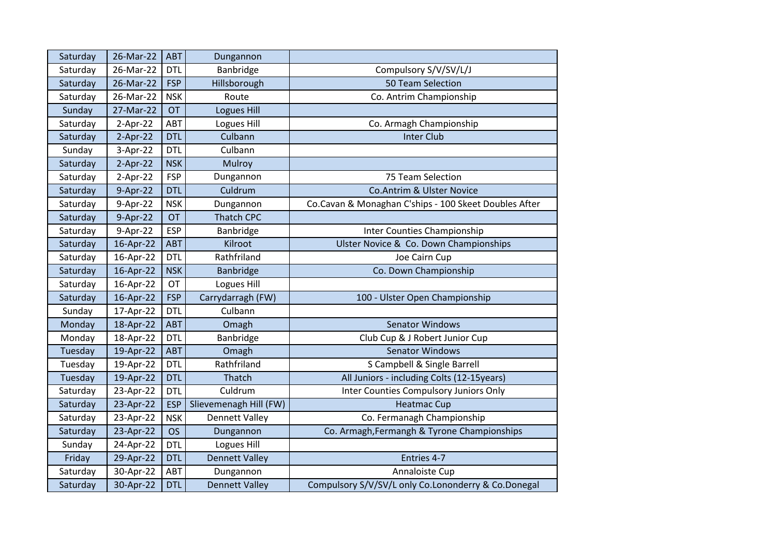| Saturday | 26-Mar-22  | ABT        | Dungannon              |                                                       |
|----------|------------|------------|------------------------|-------------------------------------------------------|
| Saturday | 26-Mar-22  | <b>DTL</b> | Banbridge              | Compulsory S/V/SV/L/J                                 |
| Saturday | 26-Mar-22  | <b>FSP</b> | Hillsborough           | 50 Team Selection                                     |
| Saturday | 26-Mar-22  | <b>NSK</b> | Route                  | Co. Antrim Championship                               |
| Sunday   | 27-Mar-22  | <b>OT</b>  | Logues Hill            |                                                       |
| Saturday | $2-Apr-22$ | ABT        | Logues Hill            | Co. Armagh Championship                               |
| Saturday | $2-Apr-22$ | <b>DTL</b> | Culbann                | <b>Inter Club</b>                                     |
| Sunday   | 3-Apr-22   | <b>DTL</b> | Culbann                |                                                       |
| Saturday | $2-Apr-22$ | <b>NSK</b> | Mulroy                 |                                                       |
| Saturday | $2-Apr-22$ | <b>FSP</b> | Dungannon              | 75 Team Selection                                     |
| Saturday | 9-Apr-22   | <b>DTL</b> | Culdrum                | Co.Antrim & Ulster Novice                             |
| Saturday | 9-Apr-22   | <b>NSK</b> | Dungannon              | Co.Cavan & Monaghan C'ships - 100 Skeet Doubles After |
| Saturday | 9-Apr-22   | <b>OT</b>  | <b>Thatch CPC</b>      |                                                       |
| Saturday | 9-Apr-22   | <b>ESP</b> | Banbridge              | Inter Counties Championship                           |
| Saturday | 16-Apr-22  | <b>ABT</b> | Kilroot                | Ulster Novice & Co. Down Championships                |
| Saturday | 16-Apr-22  | <b>DTL</b> | Rathfriland            | Joe Cairn Cup                                         |
| Saturday | 16-Apr-22  | <b>NSK</b> | Banbridge              | Co. Down Championship                                 |
| Saturday | 16-Apr-22  | <b>OT</b>  | Logues Hill            |                                                       |
| Saturday | 16-Apr-22  | <b>FSP</b> | Carrydarragh (FW)      | 100 - Ulster Open Championship                        |
| Sunday   | 17-Apr-22  | <b>DTL</b> | Culbann                |                                                       |
| Monday   | 18-Apr-22  | <b>ABT</b> | Omagh                  | <b>Senator Windows</b>                                |
| Monday   | 18-Apr-22  | <b>DTL</b> | Banbridge              | Club Cup & J Robert Junior Cup                        |
| Tuesday  | 19-Apr-22  | <b>ABT</b> | Omagh                  | <b>Senator Windows</b>                                |
| Tuesday  | 19-Apr-22  | <b>DTL</b> | Rathfriland            | S Campbell & Single Barrell                           |
| Tuesday  | 19-Apr-22  | <b>DTL</b> | Thatch                 | All Juniors - including Colts (12-15years)            |
| Saturday | 23-Apr-22  | <b>DTL</b> | Culdrum                | Inter Counties Compulsory Juniors Only                |
| Saturday | 23-Apr-22  | <b>ESP</b> | Slievemenagh Hill (FW) | <b>Heatmac Cup</b>                                    |
| Saturday | 23-Apr-22  | <b>NSK</b> | <b>Dennett Valley</b>  | Co. Fermanagh Championship                            |
| Saturday | 23-Apr-22  | <b>OS</b>  | Dungannon              | Co. Armagh, Fermangh & Tyrone Championships           |
| Sunday   | 24-Apr-22  | <b>DTL</b> | Logues Hill            |                                                       |
| Friday   | 29-Apr-22  | <b>DTL</b> | <b>Dennett Valley</b>  | Entries 4-7                                           |
| Saturday | 30-Apr-22  | ABT        | Dungannon              | Annaloiste Cup                                        |
| Saturday | 30-Apr-22  | <b>DTL</b> | <b>Dennett Valley</b>  | Compulsory S/V/SV/L only Co.Lononderry & Co.Donegal   |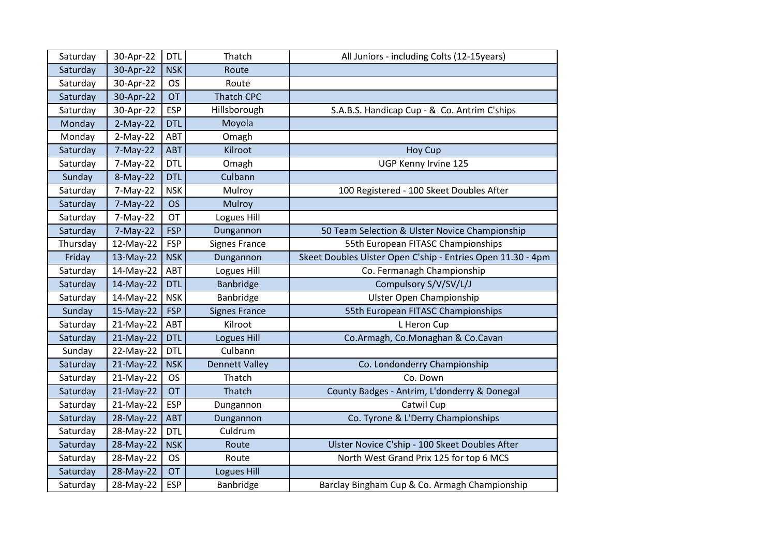| Saturday | 30-Apr-22   | <b>DTL</b> | Thatch                | All Juniors - including Colts (12-15years)                  |
|----------|-------------|------------|-----------------------|-------------------------------------------------------------|
| Saturday | 30-Apr-22   | <b>NSK</b> | Route                 |                                                             |
| Saturday | 30-Apr-22   | <b>OS</b>  | Route                 |                                                             |
| Saturday | 30-Apr-22   | <b>OT</b>  | <b>Thatch CPC</b>     |                                                             |
| Saturday | 30-Apr-22   | <b>ESP</b> | Hillsborough          | S.A.B.S. Handicap Cup - & Co. Antrim C'ships                |
| Monday   | $2-May-22$  | <b>DTL</b> | Moyola                |                                                             |
| Monday   | $2-May-22$  | ABT        | Omagh                 |                                                             |
| Saturday | 7-May-22    | <b>ABT</b> | Kilroot               | <b>Hoy Cup</b>                                              |
| Saturday | 7-May-22    | <b>DTL</b> | Omagh                 | UGP Kenny Irvine 125                                        |
| Sunday   | 8-May-22    | <b>DTL</b> | Culbann               |                                                             |
| Saturday | $7-May-22$  | <b>NSK</b> | Mulroy                | 100 Registered - 100 Skeet Doubles After                    |
| Saturday | $7-May-22$  | <b>OS</b>  | Mulroy                |                                                             |
| Saturday | $7-May-22$  | OT         | Logues Hill           |                                                             |
| Saturday | $7-May-22$  | <b>FSP</b> | Dungannon             | 50 Team Selection & Ulster Novice Championship              |
| Thursday | 12-May-22   | <b>FSP</b> | <b>Signes France</b>  | 55th European FITASC Championships                          |
| Friday   | 13-May-22   | <b>NSK</b> | Dungannon             | Skeet Doubles Ulster Open C'ship - Entries Open 11.30 - 4pm |
| Saturday | 14-May-22   | ABT        | Logues Hill           | Co. Fermanagh Championship                                  |
| Saturday | 14-May-22   | <b>DTL</b> | Banbridge             | Compulsory S/V/SV/L/J                                       |
| Saturday | 14-May-22   | <b>NSK</b> | Banbridge             | <b>Ulster Open Championship</b>                             |
| Sunday   | 15-May-22   | <b>FSP</b> | <b>Signes France</b>  | 55th European FITASC Championships                          |
| Saturday | 21-May-22   | ABT        | Kilroot               | L Heron Cup                                                 |
| Saturday | $21-May-22$ | <b>DTL</b> | <b>Logues Hill</b>    | Co.Armagh, Co.Monaghan & Co.Cavan                           |
| Sunday   | 22-May-22   | <b>DTL</b> | Culbann               |                                                             |
| Saturday | 21-May-22   | <b>NSK</b> | <b>Dennett Valley</b> | Co. Londonderry Championship                                |
| Saturday | 21-May-22   | <b>OS</b>  | Thatch                | Co. Down                                                    |
| Saturday | 21-May-22   | OT         | Thatch                | County Badges - Antrim, L'donderry & Donegal                |
| Saturday | 21-May-22   | <b>ESP</b> | Dungannon             | Catwil Cup                                                  |
| Saturday | 28-May-22   | <b>ABT</b> | Dungannon             | Co. Tyrone & L'Derry Championships                          |
| Saturday | 28-May-22   | <b>DTL</b> | Culdrum               |                                                             |
| Saturday | 28-May-22   | <b>NSK</b> | Route                 | Ulster Novice C'ship - 100 Skeet Doubles After              |
| Saturday | 28-May-22   | <b>OS</b>  | Route                 | North West Grand Prix 125 for top 6 MCS                     |
| Saturday | 28-May-22   | <b>OT</b>  | <b>Logues Hill</b>    |                                                             |
| Saturday | 28-May-22   | <b>ESP</b> | Banbridge             | Barclay Bingham Cup & Co. Armagh Championship               |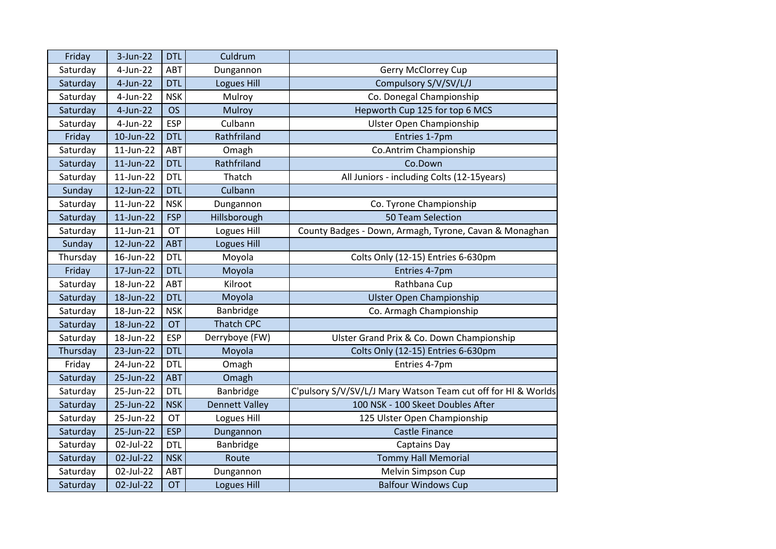| Friday   | $3-Jun-22$  | <b>DTL</b> | Culdrum               |                                                               |
|----------|-------------|------------|-----------------------|---------------------------------------------------------------|
| Saturday | 4-Jun-22    | ABT        | Dungannon             | <b>Gerry McClorrey Cup</b>                                    |
| Saturday | $4$ -Jun-22 | <b>DTL</b> | Logues Hill           | Compulsory S/V/SV/L/J                                         |
| Saturday | 4-Jun-22    | <b>NSK</b> | Mulroy                | Co. Donegal Championship                                      |
| Saturday | $4$ -Jun-22 | <b>OS</b>  | Mulroy                | Hepworth Cup 125 for top 6 MCS                                |
| Saturday | $4$ -Jun-22 | <b>ESP</b> | Culbann               | <b>Ulster Open Championship</b>                               |
| Friday   | 10-Jun-22   | <b>DTL</b> | Rathfriland           | Entries 1-7pm                                                 |
| Saturday | 11-Jun-22   | ABT        | Omagh                 | Co.Antrim Championship                                        |
| Saturday | 11-Jun-22   | <b>DTL</b> | Rathfriland           | Co.Down                                                       |
| Saturday | 11-Jun-22   | <b>DTL</b> | Thatch                | All Juniors - including Colts (12-15years)                    |
| Sunday   | 12-Jun-22   | <b>DTL</b> | Culbann               |                                                               |
| Saturday | 11-Jun-22   | <b>NSK</b> | Dungannon             | Co. Tyrone Championship                                       |
| Saturday | 11-Jun-22   | <b>FSP</b> | Hillsborough          | 50 Team Selection                                             |
| Saturday | 11-Jun-21   | OT         | Logues Hill           | County Badges - Down, Armagh, Tyrone, Cavan & Monaghan        |
| Sunday   | 12-Jun-22   | <b>ABT</b> | <b>Logues Hill</b>    |                                                               |
| Thursday | 16-Jun-22   | <b>DTL</b> | Moyola                | Colts Only (12-15) Entries 6-630pm                            |
| Friday   | 17-Jun-22   | <b>DTL</b> | Moyola                | Entries 4-7pm                                                 |
| Saturday | 18-Jun-22   | ABT        | Kilroot               | Rathbana Cup                                                  |
| Saturday | 18-Jun-22   | <b>DTL</b> | Moyola                | <b>Ulster Open Championship</b>                               |
| Saturday | 18-Jun-22   | <b>NSK</b> | Banbridge             | Co. Armagh Championship                                       |
| Saturday | 18-Jun-22   | <b>OT</b>  | <b>Thatch CPC</b>     |                                                               |
| Saturday | 18-Jun-22   | <b>ESP</b> | Derryboye (FW)        | Ulster Grand Prix & Co. Down Championship                     |
| Thursday | 23-Jun-22   | <b>DTL</b> | Moyola                | Colts Only (12-15) Entries 6-630pm                            |
| Friday   | 24-Jun-22   | <b>DTL</b> | Omagh                 | Entries 4-7pm                                                 |
| Saturday | 25-Jun-22   | <b>ABT</b> | Omagh                 |                                                               |
| Saturday | 25-Jun-22   | <b>DTL</b> | Banbridge             | C'pulsory S/V/SV/L/J Mary Watson Team cut off for HI & Worlds |
| Saturday | 25-Jun-22   | <b>NSK</b> | <b>Dennett Valley</b> | 100 NSK - 100 Skeet Doubles After                             |
| Saturday | 25-Jun-22   | OT         | Logues Hill           | 125 Ulster Open Championship                                  |
| Saturday | 25-Jun-22   | <b>ESP</b> | Dungannon             | <b>Castle Finance</b>                                         |
| Saturday | 02-Jul-22   | <b>DTL</b> | Banbridge             | <b>Captains Day</b>                                           |
| Saturday | 02-Jul-22   | <b>NSK</b> | Route                 | <b>Tommy Hall Memorial</b>                                    |
| Saturday | 02-Jul-22   | ABT        | Dungannon             | Melvin Simpson Cup                                            |
| Saturday | 02-Jul-22   | <b>OT</b>  | <b>Logues Hill</b>    | <b>Balfour Windows Cup</b>                                    |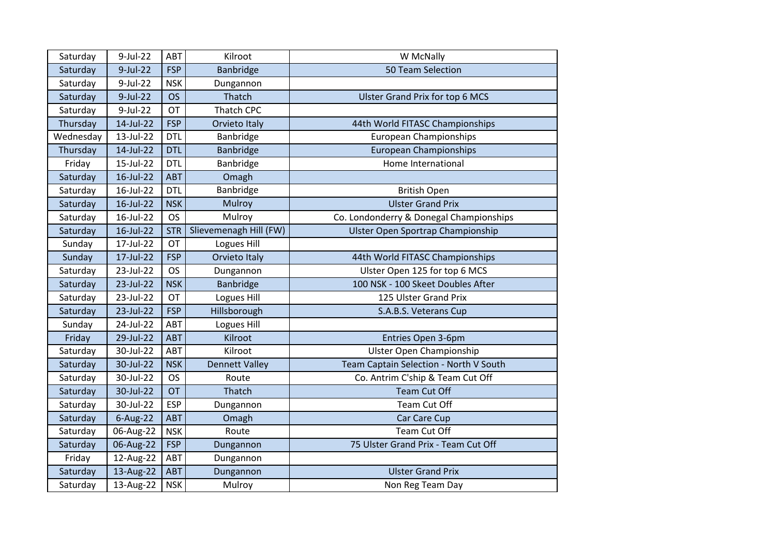| Saturday  | 9-Jul-22     | ABT        | Kilroot                | W McNally                               |
|-----------|--------------|------------|------------------------|-----------------------------------------|
| Saturday  | $9$ -Jul-22  | <b>FSP</b> | Banbridge              | 50 Team Selection                       |
| Saturday  | 9-Jul-22     | <b>NSK</b> | Dungannon              |                                         |
| Saturday  | 9-Jul-22     | <b>OS</b>  | Thatch                 | <b>Ulster Grand Prix for top 6 MCS</b>  |
| Saturday  | 9-Jul-22     | <b>OT</b>  | Thatch CPC             |                                         |
| Thursday  | 14-Jul-22    | <b>FSP</b> | Orvieto Italy          | 44th World FITASC Championships         |
| Wednesday | 13-Jul-22    | <b>DTL</b> | Banbridge              | <b>European Championships</b>           |
| Thursday  | 14-Jul-22    | <b>DTL</b> | Banbridge              | <b>European Championships</b>           |
| Friday    | 15-Jul-22    | <b>DTL</b> | Banbridge              | Home International                      |
| Saturday  | 16-Jul-22    | <b>ABT</b> | Omagh                  |                                         |
| Saturday  | 16-Jul-22    | <b>DTL</b> | Banbridge              | <b>British Open</b>                     |
| Saturday  | 16-Jul-22    | <b>NSK</b> | Mulroy                 | <b>Ulster Grand Prix</b>                |
| Saturday  | 16-Jul-22    | <b>OS</b>  | Mulroy                 | Co. Londonderry & Donegal Championships |
| Saturday  | $16$ -Jul-22 | <b>STR</b> | Slievemenagh Hill (FW) | Ulster Open Sportrap Championship       |
| Sunday    | 17-Jul-22    | <b>OT</b>  | Logues Hill            |                                         |
| Sunday    | 17-Jul-22    | <b>FSP</b> | Orvieto Italy          | 44th World FITASC Championships         |
| Saturday  | 23-Jul-22    | <b>OS</b>  | Dungannon              | Ulster Open 125 for top 6 MCS           |
| Saturday  | 23-Jul-22    | <b>NSK</b> | Banbridge              | 100 NSK - 100 Skeet Doubles After       |
| Saturday  | 23-Jul-22    | <b>OT</b>  | Logues Hill            | 125 Ulster Grand Prix                   |
| Saturday  | 23-Jul-22    | <b>FSP</b> | Hillsborough           | S.A.B.S. Veterans Cup                   |
| Sunday    | 24-Jul-22    | ABT        | Logues Hill            |                                         |
| Friday    | 29-Jul-22    | <b>ABT</b> | Kilroot                | Entries Open 3-6pm                      |
| Saturday  | 30-Jul-22    | ABT        | Kilroot                | <b>Ulster Open Championship</b>         |
| Saturday  | 30-Jul-22    | <b>NSK</b> | <b>Dennett Valley</b>  | Team Captain Selection - North V South  |
| Saturday  | 30-Jul-22    | <b>OS</b>  | Route                  | Co. Antrim C'ship & Team Cut Off        |
| Saturday  | 30-Jul-22    | <b>OT</b>  | Thatch                 | <b>Team Cut Off</b>                     |
| Saturday  | 30-Jul-22    | <b>ESP</b> | Dungannon              | Team Cut Off                            |
| Saturday  | 6-Aug-22     | ABT        | Omagh                  | Car Care Cup                            |
| Saturday  | 06-Aug-22    | <b>NSK</b> | Route                  | Team Cut Off                            |
| Saturday  | 06-Aug-22    | <b>FSP</b> | Dungannon              | 75 Ulster Grand Prix - Team Cut Off     |
| Friday    | 12-Aug-22    | ABT        | Dungannon              |                                         |
| Saturday  | 13-Aug-22    | <b>ABT</b> | Dungannon              | <b>Ulster Grand Prix</b>                |
| Saturday  | 13-Aug-22    | <b>NSK</b> | Mulroy                 | Non Reg Team Day                        |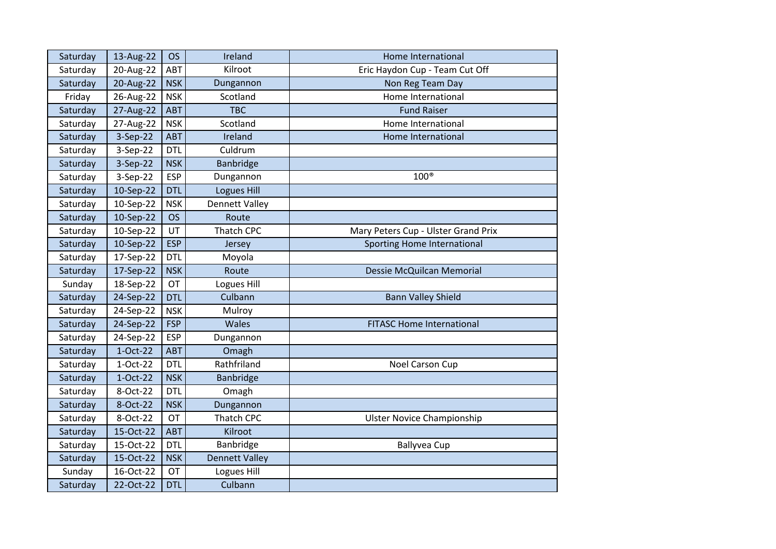| Saturday | 13-Aug-22 | <b>OS</b>  | Ireland               | Home International                  |
|----------|-----------|------------|-----------------------|-------------------------------------|
| Saturday | 20-Aug-22 | ABT        | Kilroot               | Eric Haydon Cup - Team Cut Off      |
| Saturday | 20-Aug-22 | <b>NSK</b> | Dungannon             | Non Reg Team Day                    |
| Friday   | 26-Aug-22 | <b>NSK</b> | Scotland              | Home International                  |
| Saturday | 27-Aug-22 | <b>ABT</b> | <b>TBC</b>            | <b>Fund Raiser</b>                  |
| Saturday | 27-Aug-22 | <b>NSK</b> | Scotland              | Home International                  |
| Saturday | 3-Sep-22  | <b>ABT</b> | Ireland               | Home International                  |
| Saturday | 3-Sep-22  | <b>DTL</b> | Culdrum               |                                     |
| Saturday | 3-Sep-22  | <b>NSK</b> | Banbridge             |                                     |
| Saturday | 3-Sep-22  | <b>ESP</b> | Dungannon             | $100^{\circ}$                       |
| Saturday | 10-Sep-22 | <b>DTL</b> | <b>Logues Hill</b>    |                                     |
| Saturday | 10-Sep-22 | <b>NSK</b> | <b>Dennett Valley</b> |                                     |
| Saturday | 10-Sep-22 | <b>OS</b>  | Route                 |                                     |
| Saturday | 10-Sep-22 | UT         | Thatch CPC            | Mary Peters Cup - Ulster Grand Prix |
| Saturday | 10-Sep-22 | <b>ESP</b> | Jersey                | Sporting Home International         |
| Saturday | 17-Sep-22 | <b>DTL</b> | Moyola                |                                     |
| Saturday | 17-Sep-22 | <b>NSK</b> | Route                 | Dessie McQuilcan Memorial           |
| Sunday   | 18-Sep-22 | OT         | Logues Hill           |                                     |
| Saturday | 24-Sep-22 | <b>DTL</b> | Culbann               | <b>Bann Valley Shield</b>           |
| Saturday | 24-Sep-22 | <b>NSK</b> | Mulroy                |                                     |
| Saturday | 24-Sep-22 | <b>FSP</b> | Wales                 | <b>FITASC Home International</b>    |
| Saturday | 24-Sep-22 | <b>ESP</b> | Dungannon             |                                     |
| Saturday | 1-Oct-22  | <b>ABT</b> | Omagh                 |                                     |
| Saturday | 1-Oct-22  | <b>DTL</b> | Rathfriland           | Noel Carson Cup                     |
| Saturday | 1-Oct-22  | <b>NSK</b> | Banbridge             |                                     |
| Saturday | 8-Oct-22  | <b>DTL</b> | Omagh                 |                                     |
| Saturday | 8-Oct-22  | <b>NSK</b> | Dungannon             |                                     |
| Saturday | 8-Oct-22  | OT         | <b>Thatch CPC</b>     | <b>Ulster Novice Championship</b>   |
| Saturday | 15-Oct-22 | <b>ABT</b> | Kilroot               |                                     |
| Saturday | 15-Oct-22 | <b>DTL</b> | Banbridge             | <b>Ballyvea Cup</b>                 |
| Saturday | 15-Oct-22 | <b>NSK</b> | <b>Dennett Valley</b> |                                     |
| Sunday   | 16-Oct-22 | OT         | Logues Hill           |                                     |
| Saturday | 22-Oct-22 | <b>DTL</b> | Culbann               |                                     |